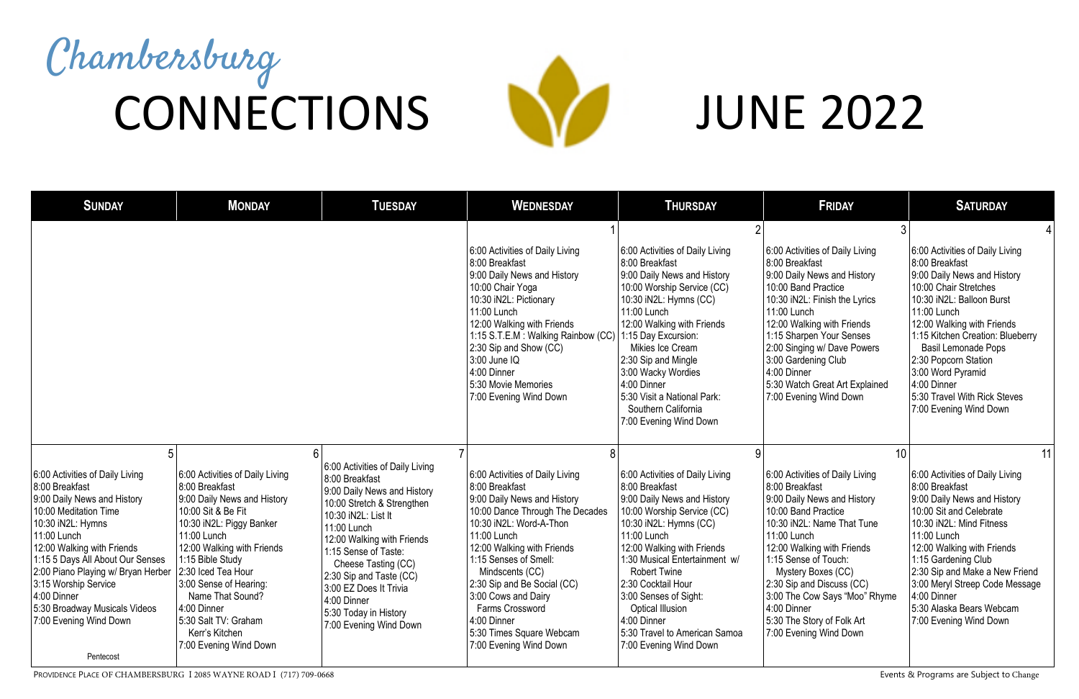| <b>SUNDAY</b>                                                                                                                                                                                                                                                                                                                                                           | <b>MONDAY</b>                                                                                                                                                                                                                                                                                                                                              | <b>TUESDAY</b>                                                                                                                                                                                                                                                                                                                                           | <b>WEDNESDAY</b>                                                                                                                                                                                                                                                                                                                                                                             | <b>THURSDAY</b>                                                                                                                                                                                                                                                                                                                                                                                   | <b>FRIDAY</b>                                                                                                                                                                                                                                                                                                                                                         | <b>SATURDAY</b>                                                                                                                                                                                                                                                                                                                                                             |
|-------------------------------------------------------------------------------------------------------------------------------------------------------------------------------------------------------------------------------------------------------------------------------------------------------------------------------------------------------------------------|------------------------------------------------------------------------------------------------------------------------------------------------------------------------------------------------------------------------------------------------------------------------------------------------------------------------------------------------------------|----------------------------------------------------------------------------------------------------------------------------------------------------------------------------------------------------------------------------------------------------------------------------------------------------------------------------------------------------------|----------------------------------------------------------------------------------------------------------------------------------------------------------------------------------------------------------------------------------------------------------------------------------------------------------------------------------------------------------------------------------------------|---------------------------------------------------------------------------------------------------------------------------------------------------------------------------------------------------------------------------------------------------------------------------------------------------------------------------------------------------------------------------------------------------|-----------------------------------------------------------------------------------------------------------------------------------------------------------------------------------------------------------------------------------------------------------------------------------------------------------------------------------------------------------------------|-----------------------------------------------------------------------------------------------------------------------------------------------------------------------------------------------------------------------------------------------------------------------------------------------------------------------------------------------------------------------------|
|                                                                                                                                                                                                                                                                                                                                                                         |                                                                                                                                                                                                                                                                                                                                                            |                                                                                                                                                                                                                                                                                                                                                          |                                                                                                                                                                                                                                                                                                                                                                                              |                                                                                                                                                                                                                                                                                                                                                                                                   |                                                                                                                                                                                                                                                                                                                                                                       |                                                                                                                                                                                                                                                                                                                                                                             |
|                                                                                                                                                                                                                                                                                                                                                                         |                                                                                                                                                                                                                                                                                                                                                            |                                                                                                                                                                                                                                                                                                                                                          | 6:00 Activities of Daily Living<br>8:00 Breakfast<br>9:00 Daily News and History<br>10:00 Chair Yoga<br>10:30 iN2L: Pictionary<br>11:00 Lunch<br>12:00 Walking with Friends<br>1:15 S.T.E.M : Walking Rainbow (CC)<br>2:30 Sip and Show (CC)<br>3:00 June IQ<br>4:00 Dinner<br>5:30 Movie Memories<br>7:00 Evening Wind Down                                                                 | 6:00 Activities of Daily Living<br>8:00 Breakfast<br>9:00 Daily News and History<br>10:00 Worship Service (CC)<br>10:30 iN2L: Hymns (CC)<br>11:00 Lunch<br>12:00 Walking with Friends<br>1:15 Day Excursion:<br>Mikies Ice Cream<br>2:30 Sip and Mingle<br>3:00 Wacky Wordies<br>4:00 Dinner<br>5:30 Visit a National Park:<br>Southern California<br>7:00 Evening Wind Down                      | 6:00 Activities of Daily Living<br>8:00 Breakfast<br>9:00 Daily News and History<br>10:00 Band Practice<br>10:30 iN2L: Finish the Lyrics<br>11:00 Lunch<br>12:00 Walking with Friends<br>1:15 Sharpen Your Senses<br>2:00 Singing w/ Dave Powers<br>3:00 Gardening Club<br>4:00 Dinner<br>5:30 Watch Great Art Explained<br>7:00 Evening Wind Down                    | 6:00 Activities of Daily Living<br>8:00 Breakfast<br>9:00 Daily News and History<br>10:00 Chair Stretches<br>10:30 iN2L: Balloon Burst<br>11:00 Lunch<br>12:00 Walking with Friends<br>1:15 Kitchen Creation: Blueberry<br><b>Basil Lemonade Pops</b><br>2:30 Popcorn Station<br>3:00 Word Pyramid<br>4:00 Dinner<br>5:30 Travel With Rick Steves<br>7:00 Evening Wind Down |
| 5                                                                                                                                                                                                                                                                                                                                                                       | 6                                                                                                                                                                                                                                                                                                                                                          |                                                                                                                                                                                                                                                                                                                                                          | 8                                                                                                                                                                                                                                                                                                                                                                                            |                                                                                                                                                                                                                                                                                                                                                                                                   | 10                                                                                                                                                                                                                                                                                                                                                                    | 11                                                                                                                                                                                                                                                                                                                                                                          |
| 6:00 Activities of Daily Living<br>8:00 Breakfast<br>9:00 Daily News and History<br>10:00 Meditation Time<br>10:30 iN2L: Hymns<br>11:00 Lunch<br>12:00 Walking with Friends<br>1:15 5 Days All About Our Senses<br>2:00 Piano Playing w/ Bryan Herber<br>3:15 Worship Service<br>$ 4:00$ Dinner<br>5:30 Broadway Musicals Videos<br>7:00 Evening Wind Down<br>Pentecost | 6:00 Activities of Daily Living<br>8:00 Breakfast<br>9:00 Daily News and History<br>10:00 Sit & Be Fit<br>10:30 iN2L: Piggy Banker<br>11:00 Lunch<br>12:00 Walking with Friends<br>1:15 Bible Study<br>2:30 Iced Tea Hour<br>3:00 Sense of Hearing:<br>Name That Sound?<br>4:00 Dinner<br>5:30 Salt TV: Graham<br>Kerr's Kitchen<br>7:00 Evening Wind Down | 6:00 Activities of Daily Living<br>8:00 Breakfast<br>9:00 Daily News and History<br>10:00 Stretch & Strengthen<br>10:30 iN2L: List It<br>11:00 Lunch<br>12:00 Walking with Friends<br>1:15 Sense of Taste:<br>Cheese Tasting (CC)<br>2:30 Sip and Taste (CC)<br>3:00 EZ Does It Trivia<br>4:00 Dinner<br>5:30 Today in History<br>7:00 Evening Wind Down | 6:00 Activities of Daily Living<br>8:00 Breakfast<br>9:00 Daily News and History<br>10:00 Dance Through The Decades<br>10:30 iN2L: Word-A-Thon<br>11:00 Lunch<br>12:00 Walking with Friends<br>1:15 Senses of Smell:<br>Mindscents (CC)<br>2:30 Sip and Be Social (CC)<br>3:00 Cows and Dairy<br><b>Farms Crossword</b><br>4:00 Dinner<br>5:30 Times Square Webcam<br>7:00 Evening Wind Down | 6:00 Activities of Daily Living<br>8:00 Breakfast<br>9:00 Daily News and History<br>10:00 Worship Service (CC)<br>10:30 iN2L: Hymns (CC)<br>11:00 Lunch<br>12:00 Walking with Friends<br>1:30 Musical Entertainment w/<br><b>Robert Twine</b><br>2:30 Cocktail Hour<br>3:00 Senses of Sight:<br><b>Optical Illusion</b><br>4:00 Dinner<br>5:30 Travel to American Samoa<br>7:00 Evening Wind Down | 6:00 Activities of Daily Living<br>8:00 Breakfast<br>9:00 Daily News and History<br>10:00 Band Practice<br>10:30 iN2L: Name That Tune<br>11:00 Lunch<br>12:00 Walking with Friends<br>1:15 Sense of Touch:<br>Mystery Boxes (CC)<br>2:30 Sip and Discuss (CC)<br>3:00 The Cow Says "Moo" Rhyme<br>4:00 Dinner<br>5:30 The Story of Folk Art<br>7:00 Evening Wind Down | 6:00 Activities of Daily Living<br>8:00 Breakfast<br>9:00 Daily News and History<br>10:00 Sit and Celebrate<br>10:30 iN2L: Mind Fitness<br>11:00 Lunch<br>12:00 Walking with Friends<br>1:15 Gardening Club<br>2:30 Sip and Make a New Friend<br>3:00 Meryl Streep Code Message<br>4:00 Dinner<br>5:30 Alaska Bears Webcam<br>7:00 Evening Wind Down                        |

PROVIDENCE PLACE OF CHAMBERSBURG I 2085 WAYNE ROAD I (717) 709-0668 Events & Programs are Subject to Change

## JUNE 2022

## Chambersburg CONNECTIONS